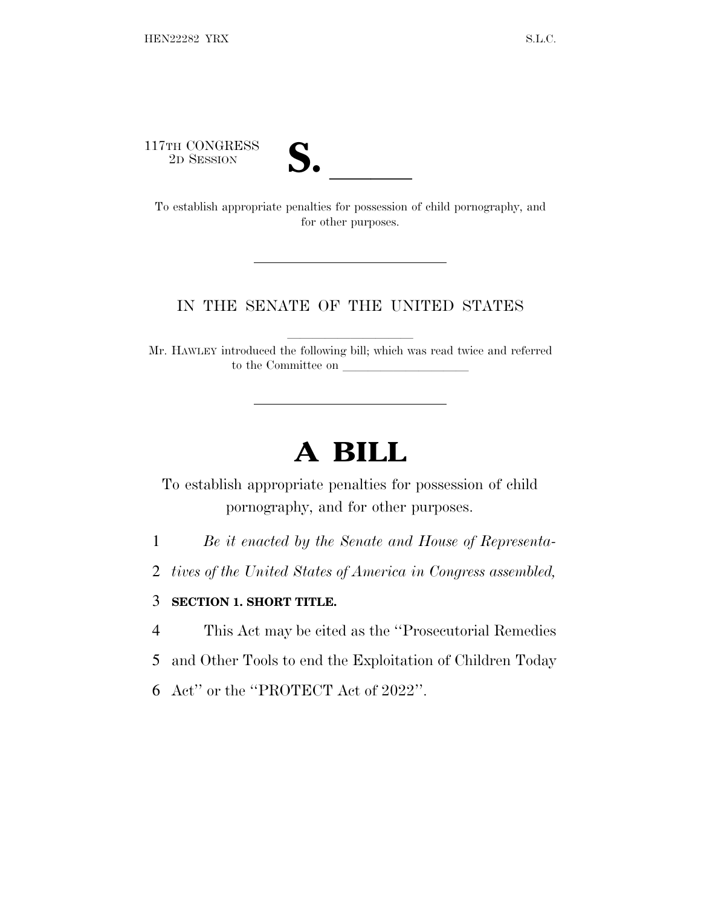117TH CONGRESS<br>2D SESSION



17TH CONGRESS<br>
2D SESSION<br>
To establish appropriate penalties for possession of child pornography, and for other purposes.

## IN THE SENATE OF THE UNITED STATES

Mr. HAWLEY introduced the following bill; which was read twice and referred to the Committee on

## **A BILL**

To establish appropriate penalties for possession of child pornography, and for other purposes.

1 *Be it enacted by the Senate and House of Representa-*

2 *tives of the United States of America in Congress assembled,*

## 3 **SECTION 1. SHORT TITLE.**

4 This Act may be cited as the ''Prosecutorial Remedies

5 and Other Tools to end the Exploitation of Children Today

6 Act'' or the ''PROTECT Act of 2022''.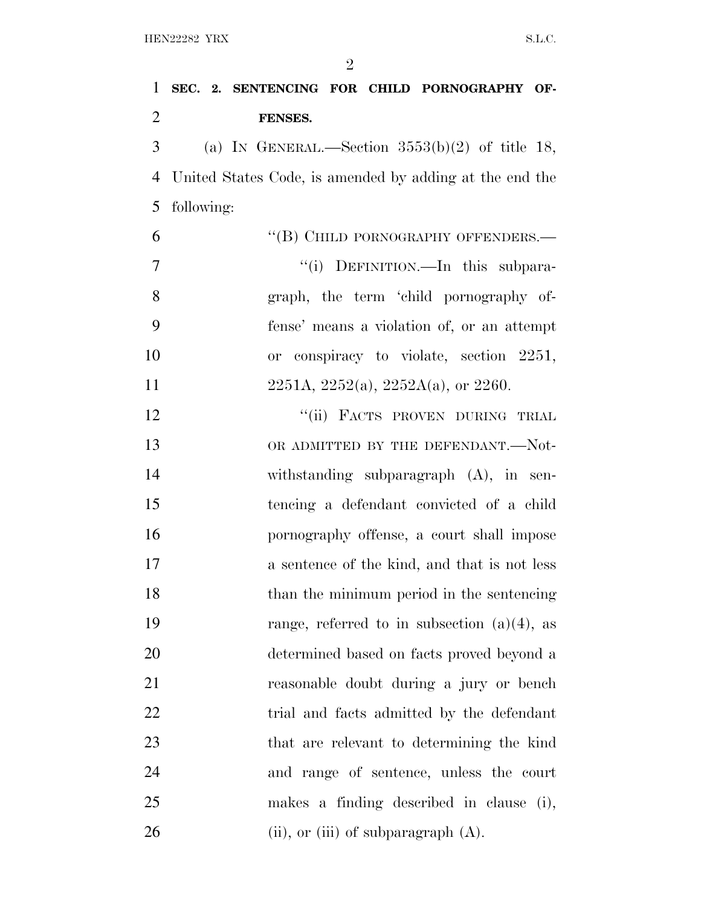| 1              | SEC. 2. SENTENCING FOR CHILD PORNOGRAPHY OF-            |  |
|----------------|---------------------------------------------------------|--|
| $\overline{2}$ | FENSES.                                                 |  |
| 3              | (a) IN GENERAL.—Section $3553(b)(2)$ of title 18,       |  |
| 4              | United States Code, is amended by adding at the end the |  |
| 5              | following:                                              |  |
| 6              | "(B) CHILD PORNOGRAPHY OFFENDERS.—                      |  |
| 7              | "(i) DEFINITION.—In this subpara-                       |  |
| 8              | graph, the term 'child pornography of-                  |  |
| 9              | fense' means a violation of, or an attempt              |  |
| 10             | or conspiracy to violate, section 2251,                 |  |
| 11             | $2251A, 2252(a), 2252A(a),$ or 2260.                    |  |
| 12             | "(ii) FACTS PROVEN DURING TRIAL                         |  |
| 13             | OR ADMITTED BY THE DEFENDANT.—Not-                      |  |
| 14             | withstanding subparagraph $(A)$ , in sen-               |  |
| 15             | tencing a defendant convicted of a child                |  |
| 16             | pornography offense, a court shall impose               |  |
| 17             | a sentence of the kind, and that is not less            |  |
| 18             | than the minimum period in the sentencing               |  |
| 19             | range, referred to in subsection $(a)(4)$ , as          |  |
| 20             | determined based on facts proved beyond a               |  |
| 21             | reasonable doubt during a jury or bench                 |  |
| 22             | trial and facts admitted by the defendant               |  |
| 23             | that are relevant to determining the kind               |  |
| 24             | and range of sentence, unless the court                 |  |
| 25             | makes a finding described in clause (i),                |  |
| 26             | $(ii)$ , or $(iii)$ of subparagraph $(A)$ .             |  |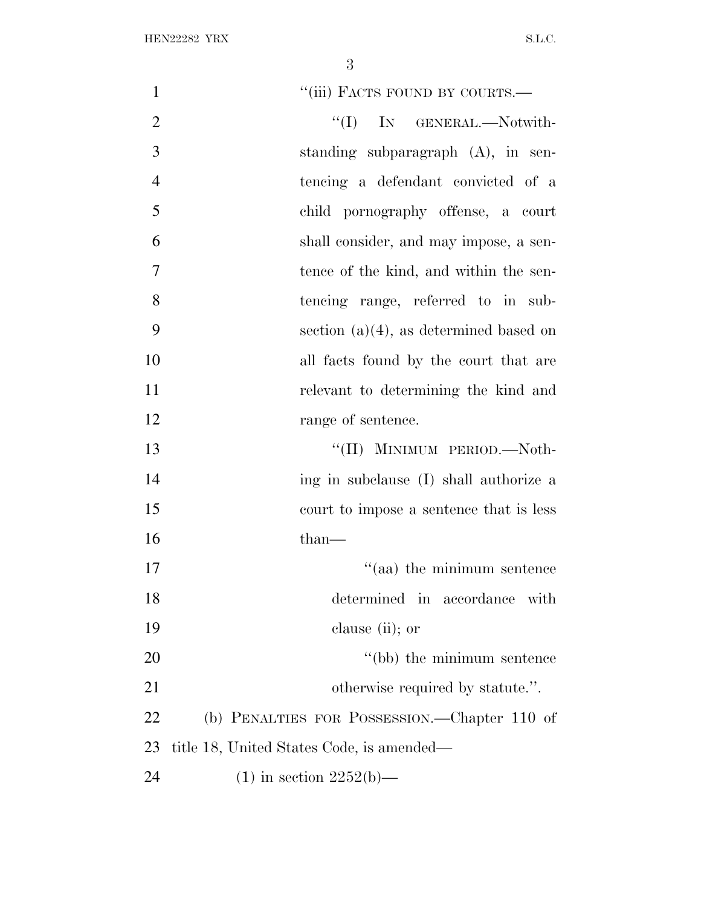| $\mathbf{1}$   | "(iii) FACTS FOUND BY COURTS.-               |
|----------------|----------------------------------------------|
| $\overline{2}$ | $\lq\lq$ (I) IN GENERAL.—Notwith-            |
| 3              | standing subparagraph $(A)$ , in sen-        |
| $\overline{4}$ | tencing a defendant convicted of a           |
| 5              | child pornography offense, a court           |
| 6              | shall consider, and may impose, a sen-       |
| $\overline{7}$ | tence of the kind, and within the sen-       |
| 8              | tencing range, referred to in sub-           |
| 9              | section $(a)(4)$ , as determined based on    |
| 10             | all facts found by the court that are        |
| 11             | relevant to determining the kind and         |
| 12             | range of sentence.                           |
| 13             | "(II) MINIMUM PERIOD.—Noth-                  |
| 14             | ing in subclause (I) shall authorize a       |
| 15             | court to impose a sentence that is less      |
| 16             | $than-$                                      |
| 17             | $\cdot$ (aa) the minimum sentence            |
| 18             | determined in accordance with                |
| 19             | clause (ii); or                              |
| 20             | "(bb) the minimum sentence                   |
| 21             | otherwise required by statute.".             |
| 22             | (b) PENALTIES FOR POSSESSION.—Chapter 110 of |
| 23             | title 18, United States Code, is amended—    |
| 24             | $(1)$ in section 2252(b)—                    |